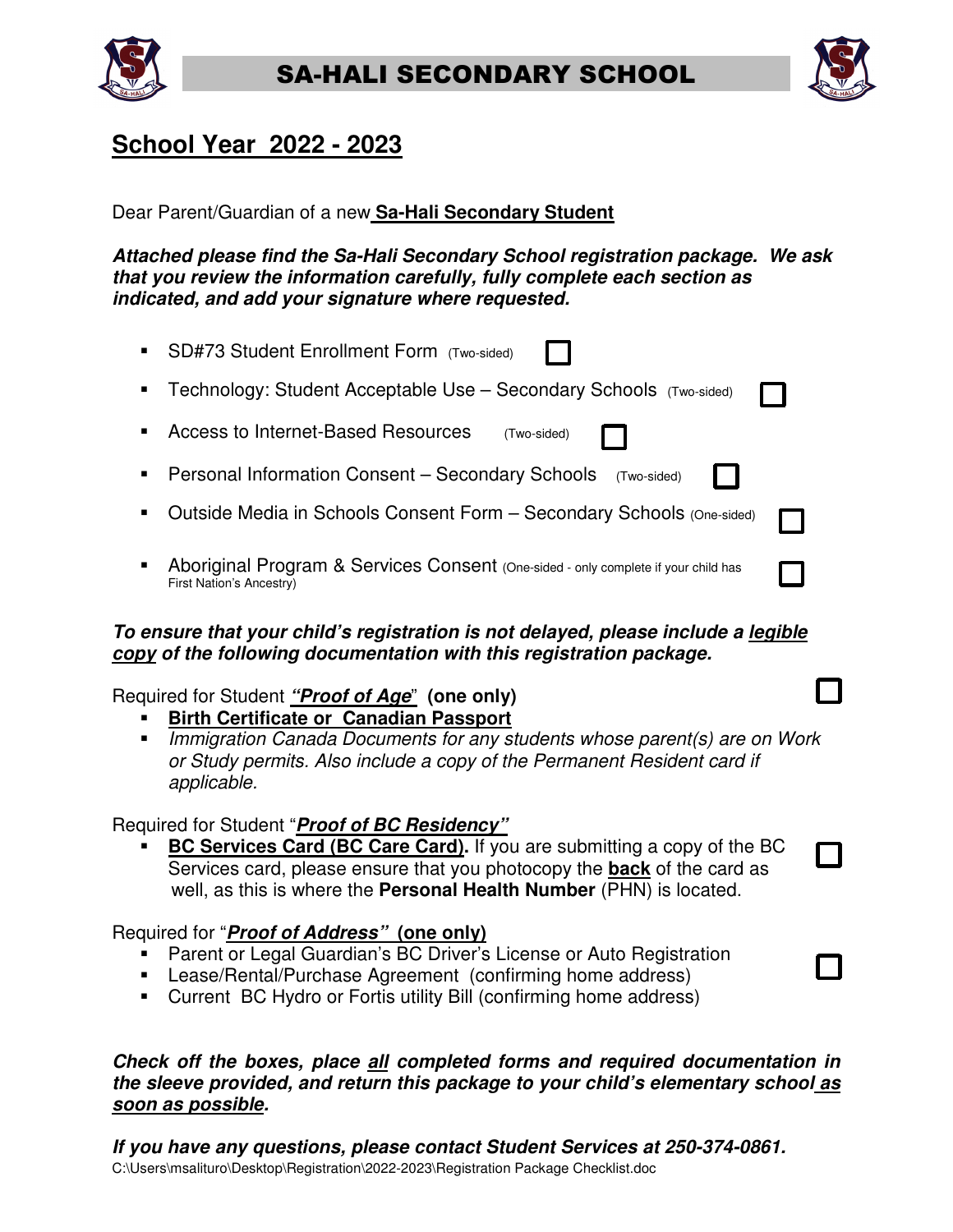



## **School Year 2022 - 2023**

Dear Parent/Guardian of a new **Sa-Hali Secondary Student** 

**Attached please find the Sa-Hali Secondary School registration package. We ask that you review the information carefully, fully complete each section as indicated, and add your signature where requested.** 

| SD#73 Student Enrollment Form (Two-sided)                                                                             |  |
|-----------------------------------------------------------------------------------------------------------------------|--|
| Technology: Student Acceptable Use - Secondary Schools (Two-sided)                                                    |  |
| Access to Internet-Based Resources<br>(Two-sided)                                                                     |  |
| Personal Information Consent - Secondary Schools<br>(Two-sided)                                                       |  |
| Outside Media in Schools Consent Form - Secondary Schools (One-sided)                                                 |  |
| Aboriginal Program & Services Consent (One-sided - only complete if your child has<br><b>First Nation's Ancestry)</b> |  |

## **To ensure that your child's registration is not delayed, please include a legible copy of the following documentation with this registration package.**

## Required for Student **"Proof of Age**" **(one only)**

- **Birth Certificate or Canadian Passport**
- Immigration Canada Documents for any students whose parent(s) are on Work or Study permits. Also include a copy of the Permanent Resident card if applicable.

## Required for Student "**Proof of BC Residency"**

 **BC Services Card (BC Care Card).** If you are submitting a copy of the BC Services card, please ensure that you photocopy the **back** of the card as well, as this is where the **Personal Health Number** (PHN) is located.

## Required for "**Proof of Address" (one only)**

- **Parent or Legal Guardian's BC Driver's License or Auto Registration**
- Lease/Rental/Purchase Agreement (confirming home address)
- Current BC Hydro or Fortis utility Bill (confirming home address)

### **Check off the boxes, place all completed forms and required documentation in the sleeve provided, and return this package to your child's elementary school as soon as possible.**

C:\Users\msalituro\Desktop\Registration\2022-2023\Registration Package Checklist.doc **If you have any questions, please contact Student Services at 250-374-0861.**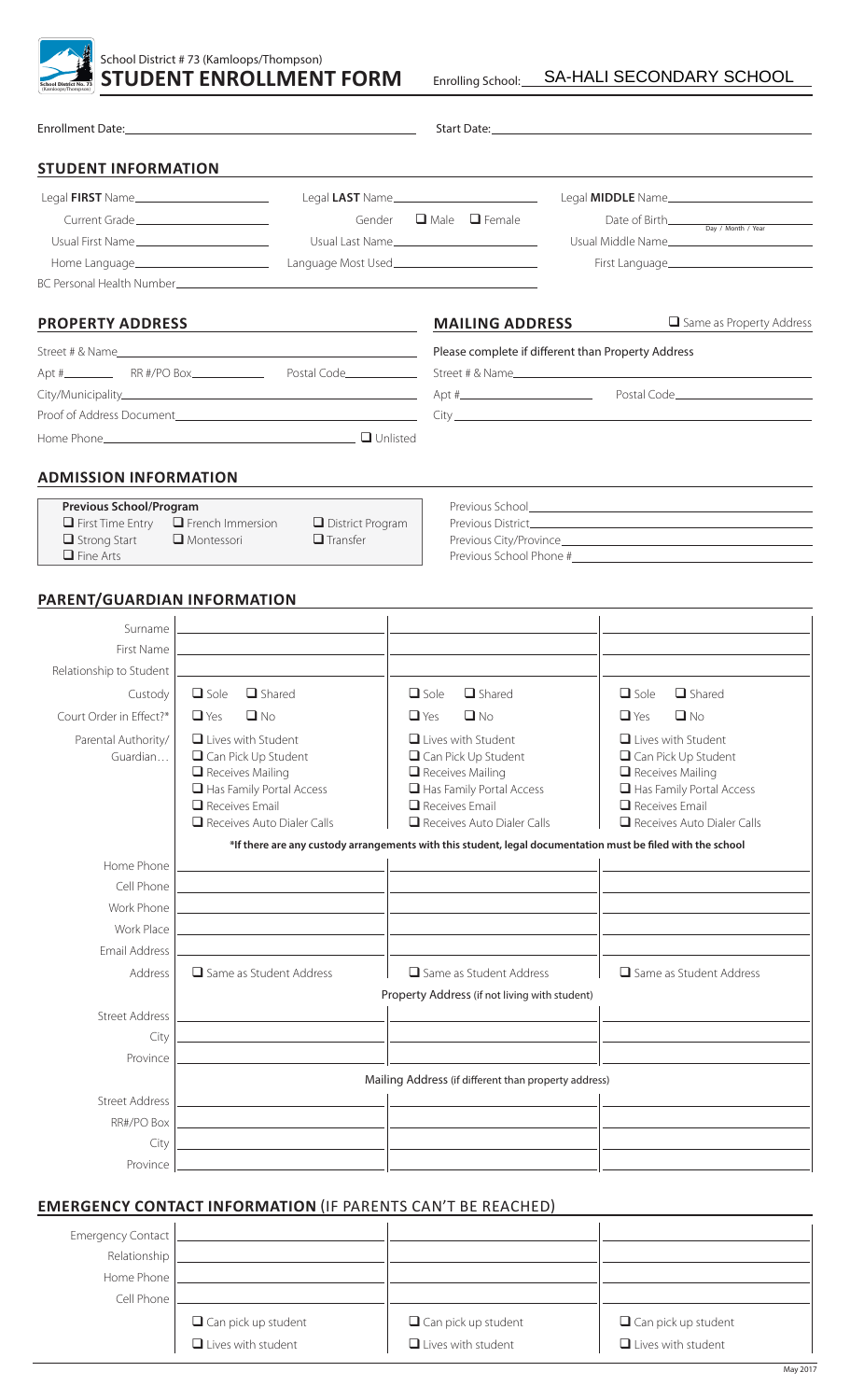| <b>School District No. 73</b><br>Kamloops/Thompson) |  |
|-----------------------------------------------------|--|

|                                                                                                                     |                                                                            |                                                                                                             |            |             | Start Date: the contract of the contract of the contract of the contract of the contract of the contract of the contract of the contract of the contract of the contract of the contract of the contract of the contract of th |             |                                              |
|---------------------------------------------------------------------------------------------------------------------|----------------------------------------------------------------------------|-------------------------------------------------------------------------------------------------------------|------------|-------------|--------------------------------------------------------------------------------------------------------------------------------------------------------------------------------------------------------------------------------|-------------|----------------------------------------------|
| <b>STUDENT INFORMATION</b>                                                                                          |                                                                            |                                                                                                             |            |             |                                                                                                                                                                                                                                |             |                                              |
| Legal FIRST Name                                                                                                    |                                                                            |                                                                                                             |            |             | Legal LAST Name                                                                                                                                                                                                                |             |                                              |
| Current Grade                                                                                                       |                                                                            |                                                                                                             |            |             | Gender $\Box$ Male $\Box$ Female                                                                                                                                                                                               |             |                                              |
| Usual First Name                                                                                                    |                                                                            | Usual Last Name                                                                                             |            |             |                                                                                                                                                                                                                                |             | Usual Middle Name                            |
| Home Language_________________________                                                                              |                                                                            | Language Most Used______________________________                                                            |            |             |                                                                                                                                                                                                                                |             |                                              |
| BC Personal Health Number Committee Committee Committee Committee Committee Committee Committee Committee Committee |                                                                            |                                                                                                             |            |             |                                                                                                                                                                                                                                |             |                                              |
| <b>PROPERTY ADDRESS</b>                                                                                             |                                                                            | <u> 1989 - Johann Barbara, martxa alemaniar populari (</u>                                                  |            |             | <b>MAILING ADDRESS</b>                                                                                                                                                                                                         |             | Same as Property Address                     |
|                                                                                                                     |                                                                            |                                                                                                             |            |             | Please complete if different than Property Address                                                                                                                                                                             |             |                                              |
|                                                                                                                     |                                                                            |                                                                                                             |            |             |                                                                                                                                                                                                                                |             | Street # & Name                              |
|                                                                                                                     |                                                                            |                                                                                                             |            |             |                                                                                                                                                                                                                                |             |                                              |
|                                                                                                                     |                                                                            |                                                                                                             |            |             |                                                                                                                                                                                                                                |             |                                              |
|                                                                                                                     |                                                                            |                                                                                                             |            |             |                                                                                                                                                                                                                                |             |                                              |
| <b>ADMISSION INFORMATION</b>                                                                                        |                                                                            |                                                                                                             |            |             |                                                                                                                                                                                                                                |             |                                              |
| <b>Previous School/Program</b>                                                                                      |                                                                            |                                                                                                             |            |             |                                                                                                                                                                                                                                |             |                                              |
| $\Box$ First Time Entry                                                                                             | $\Box$ French Immersion                                                    | District Program                                                                                            |            |             |                                                                                                                                                                                                                                |             |                                              |
| $\Box$ Strong Start<br>$\Box$ Fine Arts                                                                             | $\Box$ Montessori                                                          | $\Box$ Transfer                                                                                             |            |             |                                                                                                                                                                                                                                |             |                                              |
|                                                                                                                     |                                                                            |                                                                                                             |            |             |                                                                                                                                                                                                                                |             |                                              |
| PARENT/GUARDIAN INFORMATION                                                                                         |                                                                            |                                                                                                             |            |             |                                                                                                                                                                                                                                |             |                                              |
| Surname                                                                                                             |                                                                            | the control of the control of the control of the control of the control of                                  |            |             |                                                                                                                                                                                                                                |             |                                              |
| First Name                                                                                                          |                                                                            | <u> 1989 - Johann Barbara, markatuar margaretar (h. 1989).</u>                                              |            |             | the control of the control of the control of the control of the control of the control of                                                                                                                                      |             |                                              |
| Relationship to Student                                                                                             | the control of the control of the control of the control of the control of |                                                                                                             |            |             |                                                                                                                                                                                                                                |             |                                              |
| Custody                                                                                                             | $\Box$ Sole<br>$\Box$ Shared                                               |                                                                                                             |            | $\Box$ Sole | $\Box$ Shared                                                                                                                                                                                                                  | $\Box$ Sole | $\Box$ Shared                                |
| Court Order in Effect?*                                                                                             | $\Box$ Yes<br>$\Box$ No                                                    |                                                                                                             | $\Box$ Yes |             | $\Box$ No                                                                                                                                                                                                                      | $\Box$ Yes  | $\Box$ No                                    |
| Parental Authority/                                                                                                 | $\Box$ Lives with Student                                                  |                                                                                                             |            |             | $\Box$ Lives with Student                                                                                                                                                                                                      |             | $\Box$ Lives with Student                    |
| Guardian                                                                                                            | $\Box$ Can Pick Up Student                                                 |                                                                                                             |            |             | $\Box$ Can Pick Up Student                                                                                                                                                                                                     |             | $\Box$ Can Pick Up Student                   |
|                                                                                                                     | $\Box$ Receives Mailing<br>Has Family Portal Access                        |                                                                                                             |            |             | $\Box$ Receives Mailing<br>Has Family Portal Access                                                                                                                                                                            |             | Receives Mailing<br>Has Family Portal Access |
|                                                                                                                     | $\Box$ Receives Email                                                      |                                                                                                             |            |             | $\Box$ Receives Email                                                                                                                                                                                                          |             | $\Box$ Receives Email                        |
|                                                                                                                     | $\Box$ Receives Auto Dialer Calls                                          |                                                                                                             |            |             | $\Box$ Receives Auto Dialer Calls                                                                                                                                                                                              |             | $\Box$ Receives Auto Dialer Calls            |
|                                                                                                                     |                                                                            | *If there are any custody arrangements with this student, legal documentation must be filed with the school |            |             |                                                                                                                                                                                                                                |             |                                              |
| Home Phone                                                                                                          |                                                                            |                                                                                                             |            |             |                                                                                                                                                                                                                                |             |                                              |
| Cell Phone                                                                                                          |                                                                            |                                                                                                             |            |             |                                                                                                                                                                                                                                |             |                                              |
| Work Phone                                                                                                          |                                                                            |                                                                                                             |            |             |                                                                                                                                                                                                                                |             |                                              |
| <b>Work Place</b><br>Email Address                                                                                  |                                                                            |                                                                                                             |            |             |                                                                                                                                                                                                                                |             |                                              |
| Address                                                                                                             | $\Box$ Same as Student Address                                             |                                                                                                             |            |             | $\Box$ Same as Student Address                                                                                                                                                                                                 |             | $\Box$ Same as Student Address               |
|                                                                                                                     |                                                                            |                                                                                                             |            |             | Property Address (if not living with student)                                                                                                                                                                                  |             |                                              |
| <b>Street Address</b>                                                                                               |                                                                            |                                                                                                             |            |             |                                                                                                                                                                                                                                |             |                                              |
| City                                                                                                                |                                                                            |                                                                                                             |            |             |                                                                                                                                                                                                                                |             |                                              |
| Province                                                                                                            |                                                                            |                                                                                                             |            |             |                                                                                                                                                                                                                                |             |                                              |
|                                                                                                                     |                                                                            |                                                                                                             |            |             | Mailing Address (if different than property address)                                                                                                                                                                           |             |                                              |
| <b>Street Address</b>                                                                                               |                                                                            |                                                                                                             |            |             |                                                                                                                                                                                                                                |             |                                              |
| RR#/PO Box                                                                                                          |                                                                            |                                                                                                             |            |             |                                                                                                                                                                                                                                |             |                                              |
| City                                                                                                                |                                                                            |                                                                                                             |            |             |                                                                                                                                                                                                                                |             |                                              |
| Province                                                                                                            |                                                                            |                                                                                                             |            |             |                                                                                                                                                                                                                                |             |                                              |
|                                                                                                                     |                                                                            |                                                                                                             |            |             |                                                                                                                                                                                                                                |             |                                              |
| <b>EMERGENCY CONTACT INFORMATION (IF PARENTS CAN'T BE REACHED)</b>                                                  |                                                                            |                                                                                                             |            |             |                                                                                                                                                                                                                                |             |                                              |
| <b>Emergency Contact</b>                                                                                            |                                                                            |                                                                                                             |            |             |                                                                                                                                                                                                                                |             |                                              |
| Relationship                                                                                                        |                                                                            |                                                                                                             |            |             |                                                                                                                                                                                                                                |             |                                              |

| Home Phone |                            |                            |                            |
|------------|----------------------------|----------------------------|----------------------------|
| Cell Phone |                            |                            |                            |
|            | $\Box$ Can pick up student | $\Box$ Can pick up student | $\Box$ Can pick up student |
|            | $\Box$ Lives with student  | $\Box$ Lives with student  | $\Box$ Lives with student  |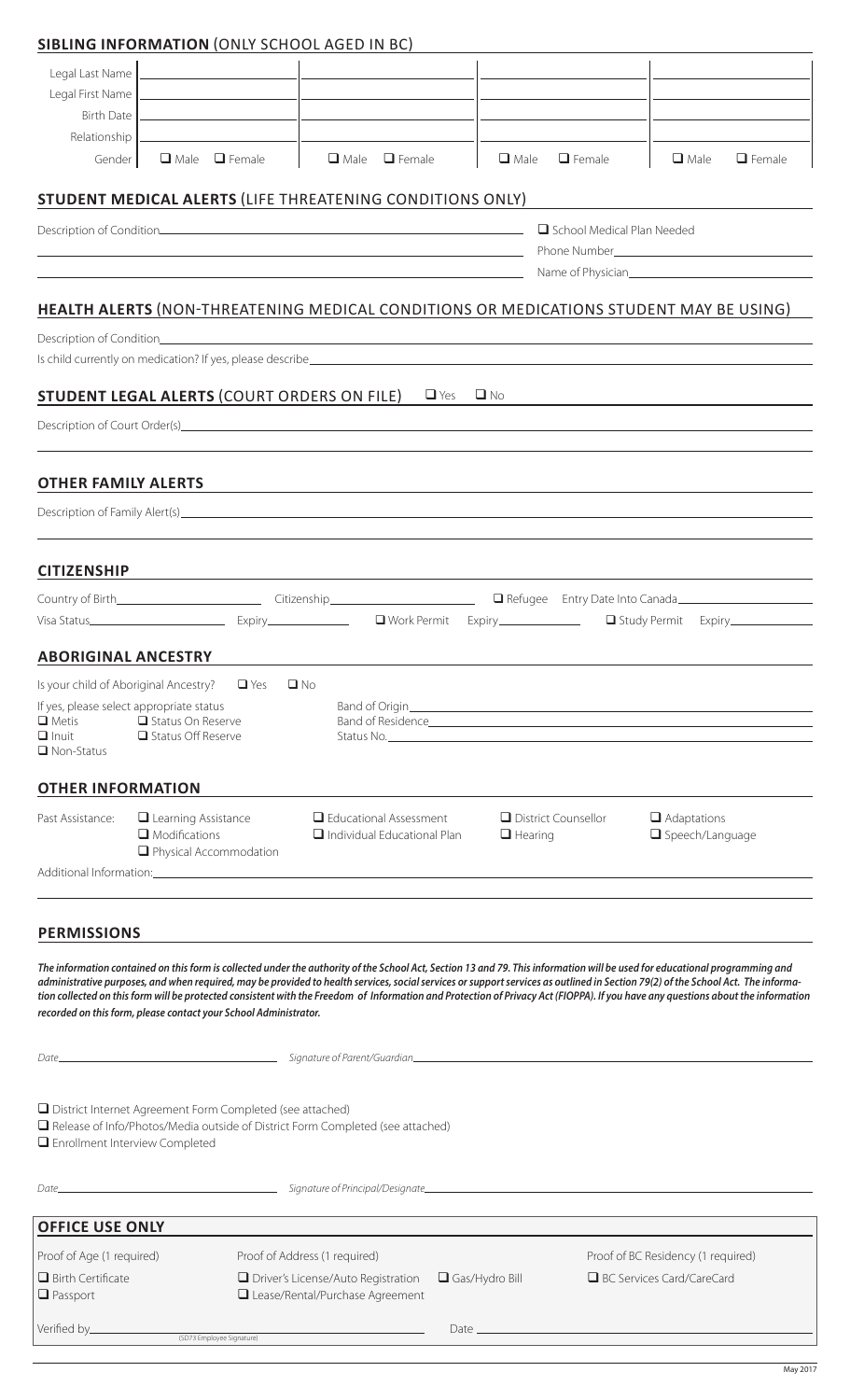## **SIBLING INFORMATION** (ONLY SCHOOL AGED IN BC)

| Legal Last Name                                          |                                                                                                                                                                             |                                                                                                                       |                         |                                          |                                                                                                                                                                                                                                                                                                                                                                      |
|----------------------------------------------------------|-----------------------------------------------------------------------------------------------------------------------------------------------------------------------------|-----------------------------------------------------------------------------------------------------------------------|-------------------------|------------------------------------------|----------------------------------------------------------------------------------------------------------------------------------------------------------------------------------------------------------------------------------------------------------------------------------------------------------------------------------------------------------------------|
| Legal First Name<br><b>Birth Date</b>                    | the contract of the contract of the contract of                                                                                                                             |                                                                                                                       |                         |                                          |                                                                                                                                                                                                                                                                                                                                                                      |
| Relationship                                             |                                                                                                                                                                             |                                                                                                                       |                         |                                          |                                                                                                                                                                                                                                                                                                                                                                      |
| Gender                                                   | $\Box$ Male $\Box$ Female                                                                                                                                                   | $\Box$ Male<br>$\Box$ Female                                                                                          | $\Box$ Male             | $\Box$ Female                            | $\Box$ Male<br>$\Box$ Female                                                                                                                                                                                                                                                                                                                                         |
|                                                          | STUDENT MEDICAL ALERTS (LIFE THREATENING CONDITIONS ONLY)                                                                                                                   |                                                                                                                       |                         |                                          |                                                                                                                                                                                                                                                                                                                                                                      |
|                                                          |                                                                                                                                                                             |                                                                                                                       |                         | School Medical Plan Needed               |                                                                                                                                                                                                                                                                                                                                                                      |
|                                                          | the contract of the contract of the contract of the contract of the contract of the contract of the contract of                                                             | <u> 1989 - Johann Stoff, deutscher Stoff, der Stoff, der Stoff, der Stoff, der Stoff, der Stoff, der Stoff, der S</u> |                         |                                          | Phone Number <b>Manufacture Community</b> Phone Number                                                                                                                                                                                                                                                                                                               |
|                                                          | <b>HEALTH ALERTS (NON-THREATENING MEDICAL CONDITIONS OR MEDICATIONS STUDENT MAY BE USING)</b>                                                                               |                                                                                                                       |                         |                                          |                                                                                                                                                                                                                                                                                                                                                                      |
|                                                          |                                                                                                                                                                             |                                                                                                                       |                         |                                          |                                                                                                                                                                                                                                                                                                                                                                      |
|                                                          |                                                                                                                                                                             |                                                                                                                       |                         |                                          |                                                                                                                                                                                                                                                                                                                                                                      |
|                                                          | <b>STUDENT LEGAL ALERTS (COURT ORDERS ON FILE)</b>                                                                                                                          |                                                                                                                       | $\Box$ Yes<br>$\Box$ No |                                          |                                                                                                                                                                                                                                                                                                                                                                      |
|                                                          |                                                                                                                                                                             |                                                                                                                       |                         |                                          |                                                                                                                                                                                                                                                                                                                                                                      |
|                                                          |                                                                                                                                                                             |                                                                                                                       |                         |                                          |                                                                                                                                                                                                                                                                                                                                                                      |
| <b>OTHER FAMILY ALERTS</b>                               |                                                                                                                                                                             |                                                                                                                       |                         |                                          |                                                                                                                                                                                                                                                                                                                                                                      |
|                                                          |                                                                                                                                                                             |                                                                                                                       |                         |                                          |                                                                                                                                                                                                                                                                                                                                                                      |
| <b>CITIZENSHIP</b>                                       |                                                                                                                                                                             |                                                                                                                       |                         |                                          |                                                                                                                                                                                                                                                                                                                                                                      |
|                                                          |                                                                                                                                                                             |                                                                                                                       |                         |                                          |                                                                                                                                                                                                                                                                                                                                                                      |
|                                                          |                                                                                                                                                                             |                                                                                                                       |                         |                                          | Study Permit Expiry____________                                                                                                                                                                                                                                                                                                                                      |
| <b>ABORIGINAL ANCESTRY</b>                               |                                                                                                                                                                             |                                                                                                                       |                         |                                          |                                                                                                                                                                                                                                                                                                                                                                      |
| Is your child of Aboriginal Ancestry?                    | $\Box$ Yes                                                                                                                                                                  | $\Box$ No                                                                                                             |                         |                                          |                                                                                                                                                                                                                                                                                                                                                                      |
| If yes, please select appropriate status<br>$\Box$ Metis | Status On Reserve                                                                                                                                                           |                                                                                                                       |                         |                                          |                                                                                                                                                                                                                                                                                                                                                                      |
| $\Box$ Inuit<br>$\Box$ Non-Status                        | □ Status Off Reserve                                                                                                                                                        |                                                                                                                       |                         | Status No. <u>2008 - Status No. 2008</u> |                                                                                                                                                                                                                                                                                                                                                                      |
| <b>OTHER INFORMATION</b>                                 |                                                                                                                                                                             |                                                                                                                       |                         |                                          |                                                                                                                                                                                                                                                                                                                                                                      |
| Past Assistance:                                         | $\Box$ Learning Assistance                                                                                                                                                  | $\Box$ Educational Assessment                                                                                         |                         | District Counsellor                      | $\Box$ Adaptations                                                                                                                                                                                                                                                                                                                                                   |
|                                                          | $\Box$ Modifications<br>Physical Accommodation                                                                                                                              | $\Box$ Individual Educational Plan                                                                                    | $\Box$ Hearing          |                                          | □ Speech/Language                                                                                                                                                                                                                                                                                                                                                    |
|                                                          |                                                                                                                                                                             |                                                                                                                       |                         |                                          |                                                                                                                                                                                                                                                                                                                                                                      |
| <b>PERMISSIONS</b>                                       |                                                                                                                                                                             |                                                                                                                       |                         |                                          |                                                                                                                                                                                                                                                                                                                                                                      |
|                                                          | The information contained on this form is collected under the authority of the School Act, Section 13 and 79. This information will be used for educational programming and |                                                                                                                       |                         |                                          |                                                                                                                                                                                                                                                                                                                                                                      |
|                                                          |                                                                                                                                                                             |                                                                                                                       |                         |                                          | administrative purposes, and when required, may be provided to health services, social services or support services as outlined in Section 79(2) of the School Act. The informa-<br>tion collected on this form will be protected consistent with the Freedom of Information and Protection of Privacy Act (FIOPPA). If you have any questions about the information |
|                                                          | recorded on this form, please contact your School Administrator.                                                                                                            |                                                                                                                       |                         |                                          |                                                                                                                                                                                                                                                                                                                                                                      |
|                                                          |                                                                                                                                                                             |                                                                                                                       |                         |                                          |                                                                                                                                                                                                                                                                                                                                                                      |
|                                                          | □ District Internet Agreement Form Completed (see attached)                                                                                                                 |                                                                                                                       |                         |                                          |                                                                                                                                                                                                                                                                                                                                                                      |
| Enrollment Interview Completed                           | Release of Info/Photos/Media outside of District Form Completed (see attached)                                                                                              |                                                                                                                       |                         |                                          |                                                                                                                                                                                                                                                                                                                                                                      |
| Date___                                                  |                                                                                                                                                                             | Signature of Principal/Designate                                                                                      |                         |                                          |                                                                                                                                                                                                                                                                                                                                                                      |
| <b>OFFICE USE ONLY</b>                                   |                                                                                                                                                                             |                                                                                                                       |                         |                                          |                                                                                                                                                                                                                                                                                                                                                                      |
| Proof of Age (1 required)                                |                                                                                                                                                                             | Proof of Address (1 required)                                                                                         |                         |                                          | Proof of BC Residency (1 required)                                                                                                                                                                                                                                                                                                                                   |
| $\Box$ Birth Certificate<br>Passport                     |                                                                                                                                                                             | $\Box$ Driver's License/Auto Registration<br>Lease/Rental/Purchase Agreement                                          | $\Box$ Gas/Hydro Bill   |                                          | BC Services Card/CareCard                                                                                                                                                                                                                                                                                                                                            |
| Verified by_                                             | (SD73 Employee Signature)                                                                                                                                                   |                                                                                                                       | Date $\_\_$             |                                          |                                                                                                                                                                                                                                                                                                                                                                      |

May 2017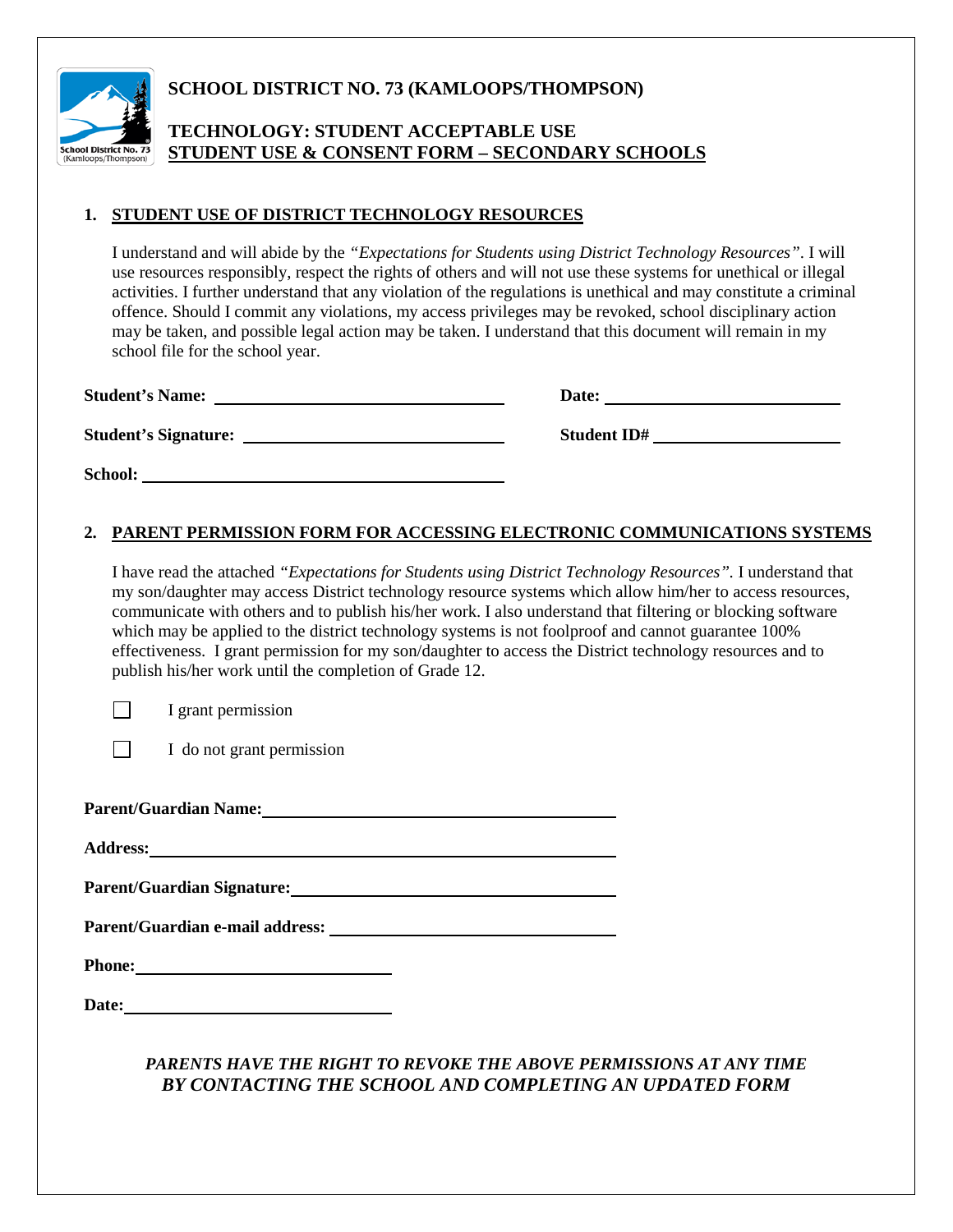

### **SCHOOL DISTRICT NO. 73 (KAMLOOPS/THOMPSON)**

### **TECHNOLOGY: STUDENT ACCEPTABLE USE STUDENT USE & CONSENT FORM – SECONDARY SCHOOLS**

#### **1. STUDENT USE OF DISTRICT TECHNOLOGY RESOURCES**

I understand and will abide by the *"Expectations for Students using District Technology Resources"*. I will use resources responsibly, respect the rights of others and will not use these systems for unethical or illegal activities. I further understand that any violation of the regulations is unethical and may constitute a criminal offence. Should I commit any violations, my access privileges may be revoked, school disciplinary action may be taken, and possible legal action may be taken. I understand that this document will remain in my school file for the school year.

| <b>Student's Name:</b>      | Date:              |
|-----------------------------|--------------------|
| <b>Student's Signature:</b> | <b>Student ID#</b> |
| School:                     |                    |

#### **2. PARENT PERMISSION FORM FOR ACCESSING ELECTRONIC COMMUNICATIONS SYSTEMS**

I have read the attached *"Expectations for Students using District Technology Resources".* I understand that my son/daughter may access District technology resource systems which allow him/her to access resources, communicate with others and to publish his/her work. I also understand that filtering or blocking software which may be applied to the district technology systems is not foolproof and cannot guarantee 100% effectiveness. I grant permission for my son/daughter to access the District technology resources and to publish his/her work until the completion of Grade 12.

I grant permission

 $\Box$ 

I do not grant permission

**Parent/Guardian Name:**

**Address:**

**Parent/Guardian Signature:**

**Parent/Guardian e-mail address:** 

**Phone:** 

**Date:**

### *PARENTS HAVE THE RIGHT TO REVOKE THE ABOVE PERMISSIONS AT ANY TIME BY CONTACTING THE SCHOOL AND COMPLETING AN UPDATED FORM*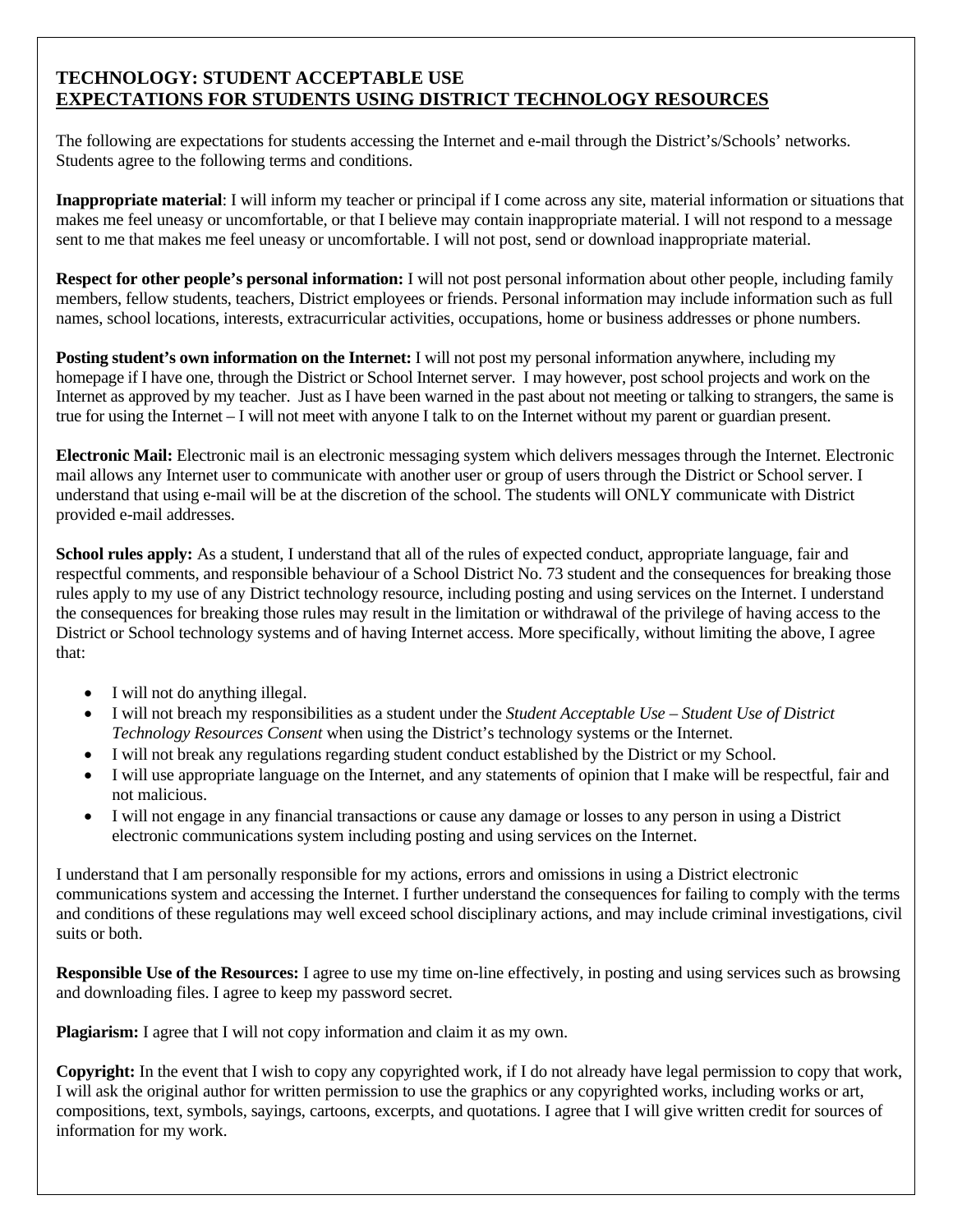### **TECHNOLOGY: STUDENT ACCEPTABLE USE EXPECTATIONS FOR STUDENTS USING DISTRICT TECHNOLOGY RESOURCES**

The following are expectations for students accessing the Internet and e-mail through the District's/Schools' networks. Students agree to the following terms and conditions.

**Inappropriate material**: I will inform my teacher or principal if I come across any site, material information or situations that makes me feel uneasy or uncomfortable, or that I believe may contain inappropriate material. I will not respond to a message sent to me that makes me feel uneasy or uncomfortable. I will not post, send or download inappropriate material.

**Respect for other people's personal information:** I will not post personal information about other people, including family members, fellow students, teachers, District employees or friends. Personal information may include information such as full names, school locations, interests, extracurricular activities, occupations, home or business addresses or phone numbers.

**Posting student's own information on the Internet:** I will not post my personal information anywhere, including my homepage if I have one, through the District or School Internet server. I may however, post school projects and work on the Internet as approved by my teacher. Just as I have been warned in the past about not meeting or talking to strangers, the same is true for using the Internet – I will not meet with anyone I talk to on the Internet without my parent or guardian present.

**Electronic Mail:** Electronic mail is an electronic messaging system which delivers messages through the Internet. Electronic mail allows any Internet user to communicate with another user or group of users through the District or School server. I understand that using e-mail will be at the discretion of the school. The students will ONLY communicate with District provided e-mail addresses.

**School rules apply:** As a student, I understand that all of the rules of expected conduct, appropriate language, fair and respectful comments, and responsible behaviour of a School District No. 73 student and the consequences for breaking those rules apply to my use of any District technology resource, including posting and using services on the Internet. I understand the consequences for breaking those rules may result in the limitation or withdrawal of the privilege of having access to the District or School technology systems and of having Internet access. More specifically, without limiting the above, I agree that:

- I will not do anything illegal.
- I will not breach my responsibilities as a student under the *Student Acceptable Use Student Use of District Technology Resources Consent* when using the District's technology systems or the Internet.
- I will not break any regulations regarding student conduct established by the District or my School.
- I will use appropriate language on the Internet, and any statements of opinion that I make will be respectful, fair and not malicious.
- I will not engage in any financial transactions or cause any damage or losses to any person in using a District electronic communications system including posting and using services on the Internet.

I understand that I am personally responsible for my actions, errors and omissions in using a District electronic communications system and accessing the Internet. I further understand the consequences for failing to comply with the terms and conditions of these regulations may well exceed school disciplinary actions, and may include criminal investigations, civil suits or both.

**Responsible Use of the Resources:** I agree to use my time on-line effectively, in posting and using services such as browsing and downloading files. I agree to keep my password secret.

**Plagiarism:** I agree that I will not copy information and claim it as my own.

**Copyright:** In the event that I wish to copy any copyrighted work, if I do not already have legal permission to copy that work, I will ask the original author for written permission to use the graphics or any copyrighted works, including works or art, compositions, text, symbols, sayings, cartoons, excerpts, and quotations. I agree that I will give written credit for sources of information for my work.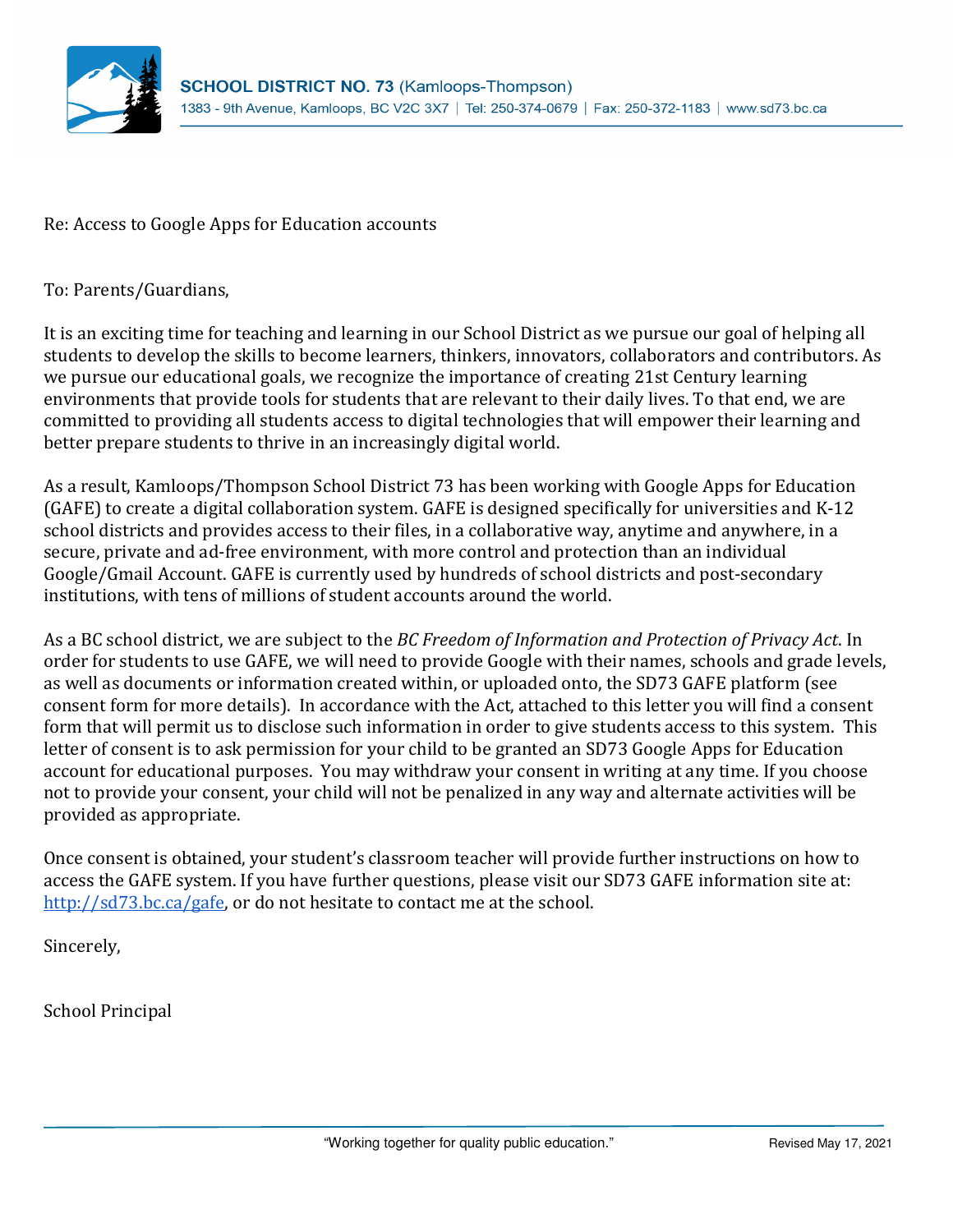

Re: Access to Google Apps for Education accounts

To: Parents/Guardians,

It is an exciting time for teaching and learning in our School District as we pursue our goal of helping all students to develop the skills to become learners, thinkers, innovators, collaborators and contributors. As we pursue our educational goals, we recognize the importance of creating 21st Century learning environments that provide tools for students that are relevant to their daily lives. To that end, we are committed to providing all students access to digital technologies that will empower their learning and better prepare students to thrive in an increasingly digital world.

As a result, Kamloops/Thompson School District 73 has been working with Google Apps for Education (GAFE) to create a digital collaboration system. GAFE is designed specifically for universities and K-12 school districts and provides access to their files, in a collaborative way, anytime and anywhere, in a secure, private and ad-free environment, with more control and protection than an individual Google/Gmail Account. GAFE is currently used by hundreds of school districts and post-secondary institutions, with tens of millions of student accounts around the world.

As a BC school district, we are subject to the BC Freedom of Information and Protection of Privacy Act. In order for students to use GAFE, we will need to provide Google with their names, schools and grade levels, as well as documents or information created within, or uploaded onto, the SD73 GAFE platform (see consent form for more details). In accordance with the Act, attached to this letter you will find a consent form that will permit us to disclose such information in order to give students access to this system. This letter of consent is to ask permission for your child to be granted an SD73 Google Apps for Education account for educational purposes. You may withdraw your consent in writing at any time. If you choose not to provide your consent, your child will not be penalized in any way and alternate activities will be provided as appropriate.

Once consent is obtained, your student's classroom teacher will provide further instructions on how to access the GAFE system. If you have further questions, please visit our SD73 GAFE information site at: http://sd73.bc.ca/gafe, or do not hesitate to contact me at the school.

Sincerely,

School Principal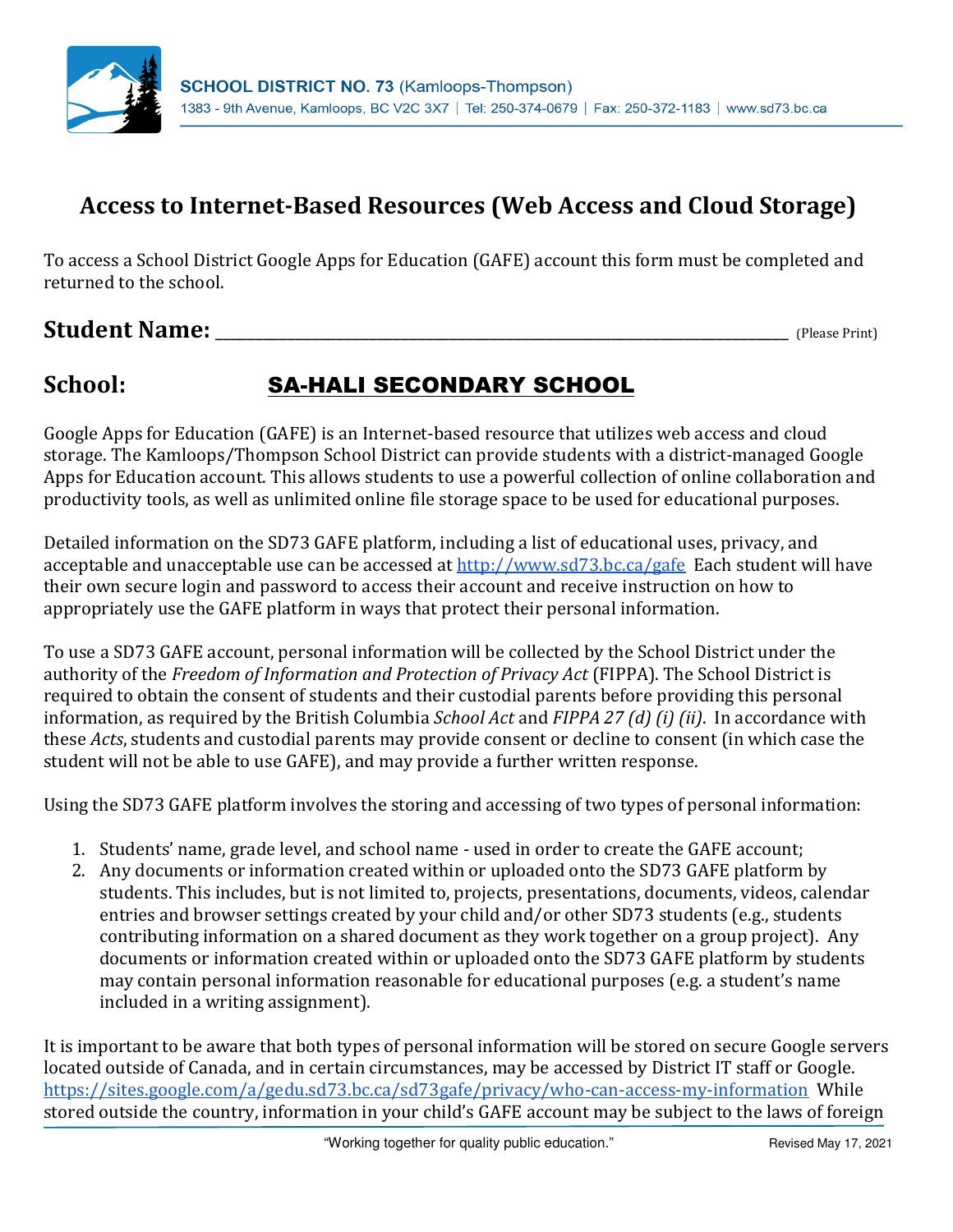

## Access to Internet-Based Resources (Web Access and Cloud Storage)

To access a School District Google Apps for Education (GAFE) account this form must be completed and returned to the school.

## Student Name: \_\_\_\_\_\_\_\_\_\_\_\_\_\_\_\_\_\_\_\_\_\_\_\_\_\_\_\_\_\_\_\_\_\_\_\_\_\_\_\_\_\_\_\_\_\_\_\_\_\_\_\_\_\_\_\_\_\_\_\_\_\_\_\_\_\_\_\_\_\_\_ (Please Print)

## School: SA-HALI SECONDARY SCHOOL

Google Apps for Education (GAFE) is an Internet-based resource that utilizes web access and cloud storage. The Kamloops/Thompson School District can provide students with a district-managed Google Apps for Education account. This allows students to use a powerful collection of online collaboration and productivity tools, as well as unlimited online file storage space to be used for educational purposes.

Detailed information on the SD73 GAFE platform, including a list of educational uses, privacy, and acceptable and unacceptable use can be accessed at http://www.sd73.bc.ca/gafe Each student will have their own secure login and password to access their account and receive instruction on how to appropriately use the GAFE platform in ways that protect their personal information.

To use a SD73 GAFE account, personal information will be collected by the School District under the authority of the Freedom of Information and Protection of Privacy Act (FIPPA). The School District is required to obtain the consent of students and their custodial parents before providing this personal information, as required by the British Columbia School Act and FIPPA 27 (d) (i) (ii). In accordance with these Acts, students and custodial parents may provide consent or decline to consent (in which case the student will not be able to use GAFE), and may provide a further written response.

Using the SD73 GAFE platform involves the storing and accessing of two types of personal information:

- 1. Students' name, grade level, and school name used in order to create the GAFE account;
- 2. Any documents or information created within or uploaded onto the SD73 GAFE platform by students. This includes, but is not limited to, projects, presentations, documents, videos, calendar entries and browser settings created by your child and/or other SD73 students (e.g., students contributing information on a shared document as they work together on a group project). Any documents or information created within or uploaded onto the SD73 GAFE platform by students may contain personal information reasonable for educational purposes (e.g. a student's name included in a writing assignment).

It is important to be aware that both types of personal information will be stored on secure Google servers located outside of Canada, and in certain circumstances, may be accessed by District IT staff or Google. https://sites.google.com/a/gedu.sd73.bc.ca/sd73gafe/privacy/who-can-access-my-information While stored outside the country, information in your child's GAFE account may be subject to the laws of foreign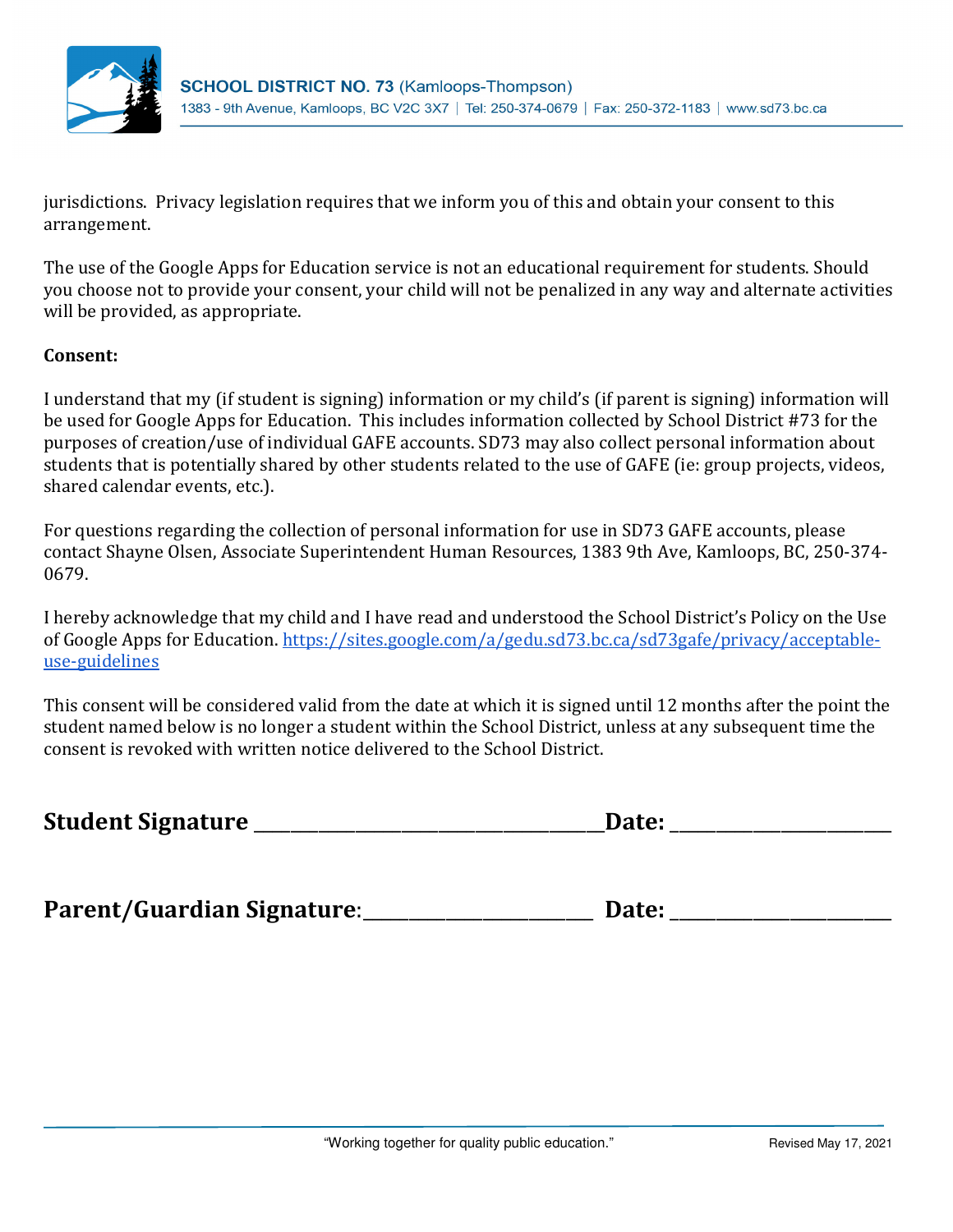

jurisdictions. Privacy legislation requires that we inform you of this and obtain your consent to this arrangement.

The use of the Google Apps for Education service is not an educational requirement for students. Should you choose not to provide your consent, your child will not be penalized in any way and alternate activities will be provided, as appropriate.

### Consent:

I understand that my (if student is signing) information or my child's (if parent is signing) information will be used for Google Apps for Education. This includes information collected by School District #73 for the purposes of creation/use of individual GAFE accounts. SD73 may also collect personal information about students that is potentially shared by other students related to the use of GAFE (ie: group projects, videos, shared calendar events, etc.).

For questions regarding the collection of personal information for use in SD73 GAFE accounts, please contact Shayne Olsen, Associate Superintendent Human Resources, 1383 9th Ave, Kamloops, BC, 250-374- 0679.

I hereby acknowledge that my child and I have read and understood the School District's Policy on the Use of Google Apps for Education. https://sites.google.com/a/gedu.sd73.bc.ca/sd73gafe/privacy/acceptableuse-guidelines

This consent will be considered valid from the date at which it is signed until 12 months after the point the student named below is no longer a student within the School District, unless at any subsequent time the consent is revoked with written notice delivered to the School District.

| <b>Student Signature</b> | Jate <sup>.</sup> |  |
|--------------------------|-------------------|--|
|--------------------------|-------------------|--|

Parent/Guardian Signature:\_\_\_\_\_\_\_\_\_\_\_\_\_\_\_\_\_\_\_\_\_\_\_\_\_ Date: \_\_\_\_\_\_\_\_\_\_\_\_\_\_\_\_\_\_\_\_\_\_\_\_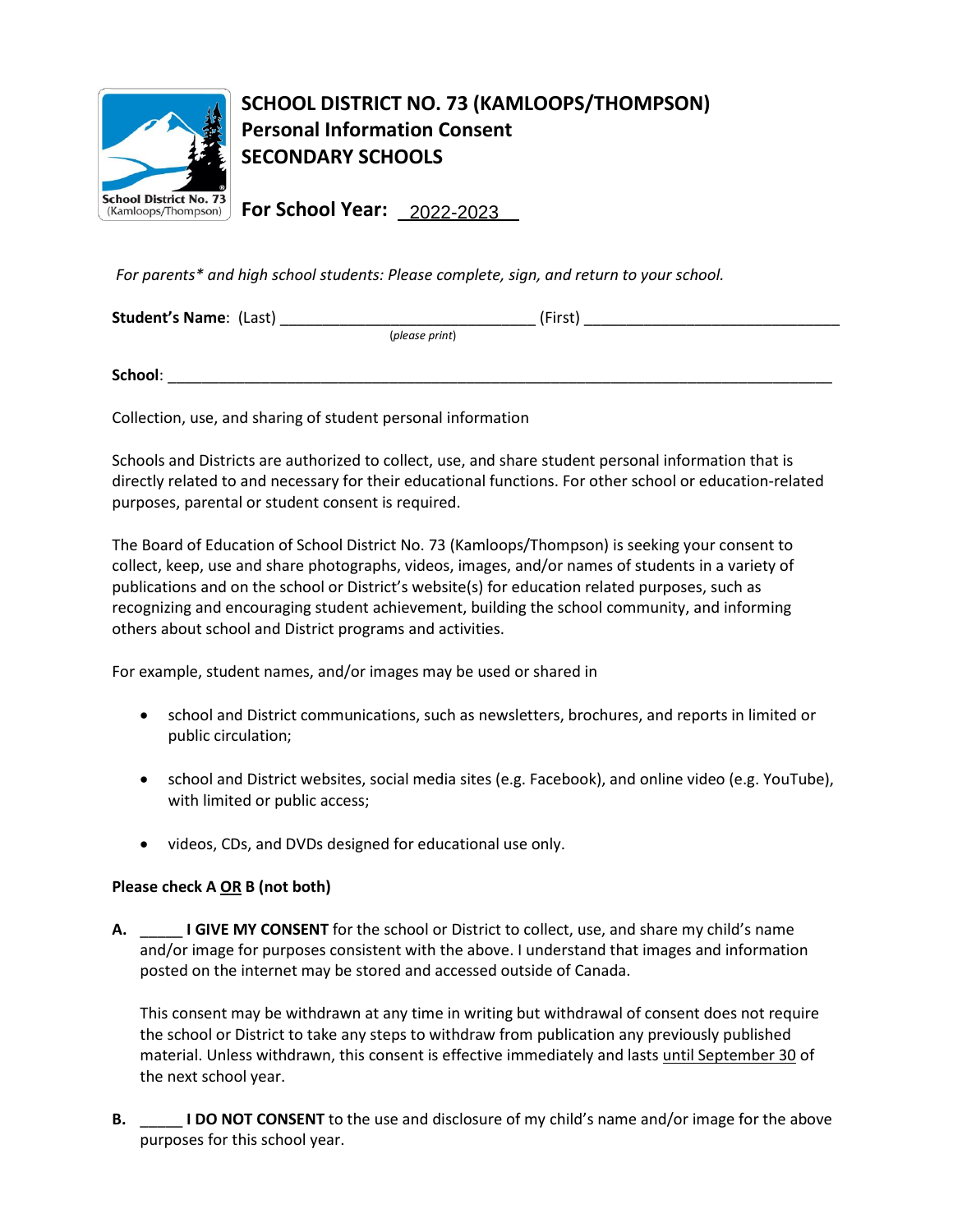

## **SCHOOL DISTRICT NO. 73 (KAMLOOPS/THOMPSON) Personal Information Consent SECONDARY SCHOOLS**

**For School Year:**  2022-2023

*For parents\* and high school students: Please complete, sign, and return to your school.*

| <b>Student's Name: (Last)</b> | (First) |
|-------------------------------|---------|
| (please print)                |         |
|                               |         |
| School:                       |         |

Collection, use, and sharing of student personal information

Schools and Districts are authorized to collect, use, and share student personal information that is directly related to and necessary for their educational functions. For other school or education-related purposes, parental or student consent is required.

The Board of Education of School District No. 73 (Kamloops/Thompson) is seeking your consent to collect, keep, use and share photographs, videos, images, and/or names of students in a variety of publications and on the school or District's website(s) for education related purposes, such as recognizing and encouraging student achievement, building the school community, and informing others about school and District programs and activities.

For example, student names, and/or images may be used or shared in

- school and District communications, such as newsletters, brochures, and reports in limited or public circulation;
- school and District websites, social media sites (e.g. Facebook), and online video (e.g. YouTube), with limited or public access;
- videos, CDs, and DVDs designed for educational use only.

### **Please check A OR B (not both)**

**A.** \_\_\_\_\_ **I GIVE MY CONSENT** for the school or District to collect, use, and share my child's name and/or image for purposes consistent with the above. I understand that images and information posted on the internet may be stored and accessed outside of Canada.

This consent may be withdrawn at any time in writing but withdrawal of consent does not require the school or District to take any steps to withdraw from publication any previously published material. Unless withdrawn, this consent is effective immediately and lasts until September 30 of the next school year.

**B.** \_\_\_\_\_ **I DO NOT CONSENT** to the use and disclosure of my child's name and/or image for the above purposes for this school year.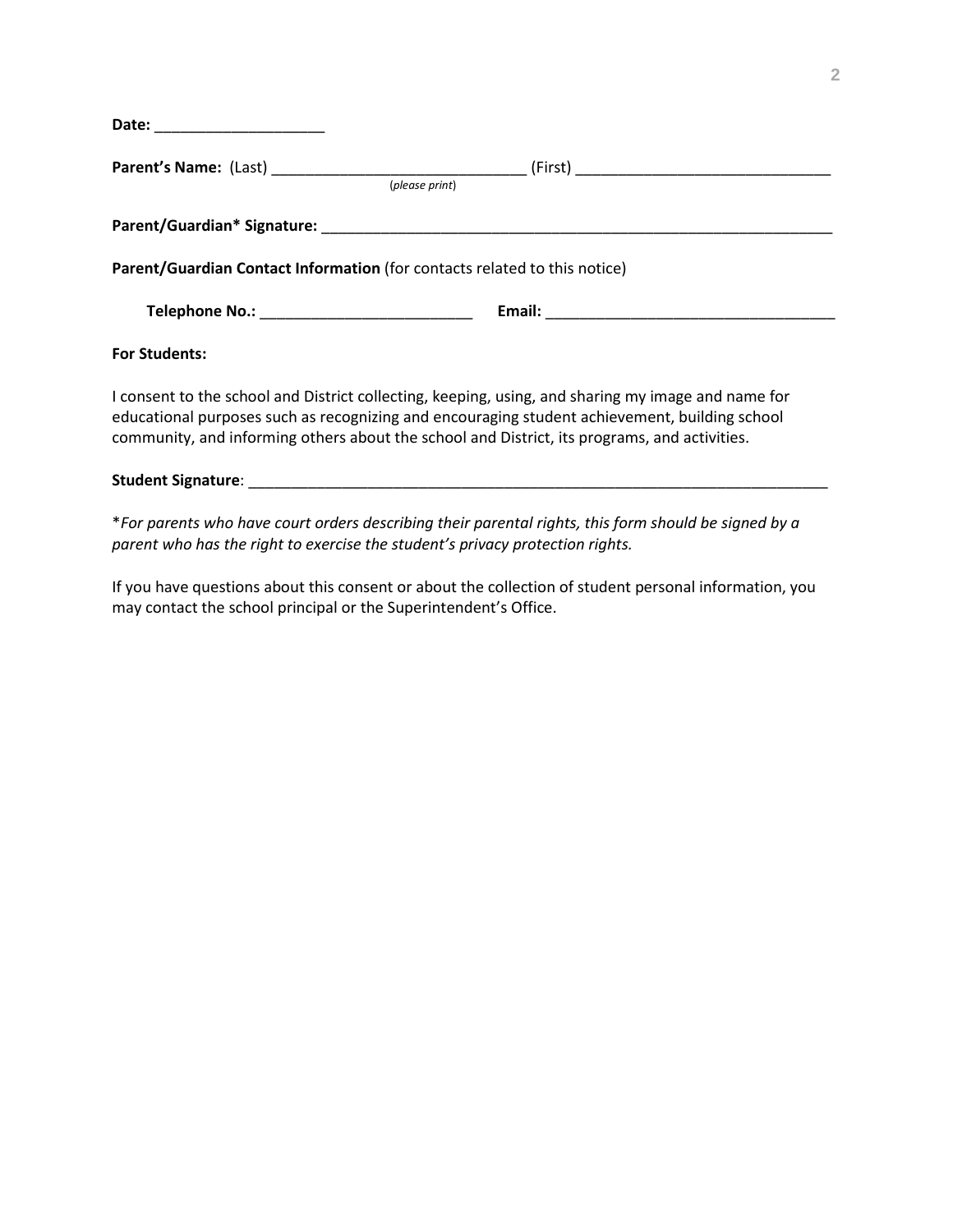| Date: ________________________ |                                                                           |  |
|--------------------------------|---------------------------------------------------------------------------|--|
|                                | (please print)                                                            |  |
|                                |                                                                           |  |
|                                | Parent/Guardian Contact Information (for contacts related to this notice) |  |
|                                |                                                                           |  |
| <b>For Students:</b>           |                                                                           |  |

I consent to the school and District collecting, keeping, using, and sharing my image and name for educational purposes such as recognizing and encouraging student achievement, building school community, and informing others about the school and District, its programs, and activities.

#### **Student Signature**: \_\_\_\_\_\_\_\_\_\_\_\_\_\_\_\_\_\_\_\_\_\_\_\_\_\_\_\_\_\_\_\_\_\_\_\_\_\_\_\_\_\_\_\_\_\_\_\_\_\_\_\_\_\_\_\_\_\_\_\_\_\_\_\_\_\_\_\_

\**For parents who have court orders describing their parental rights, this form should be signed by a parent who has the right to exercise the student's privacy protection rights.*

If you have questions about this consent or about the collection of student personal information, you may contact the school principal or the Superintendent's Office.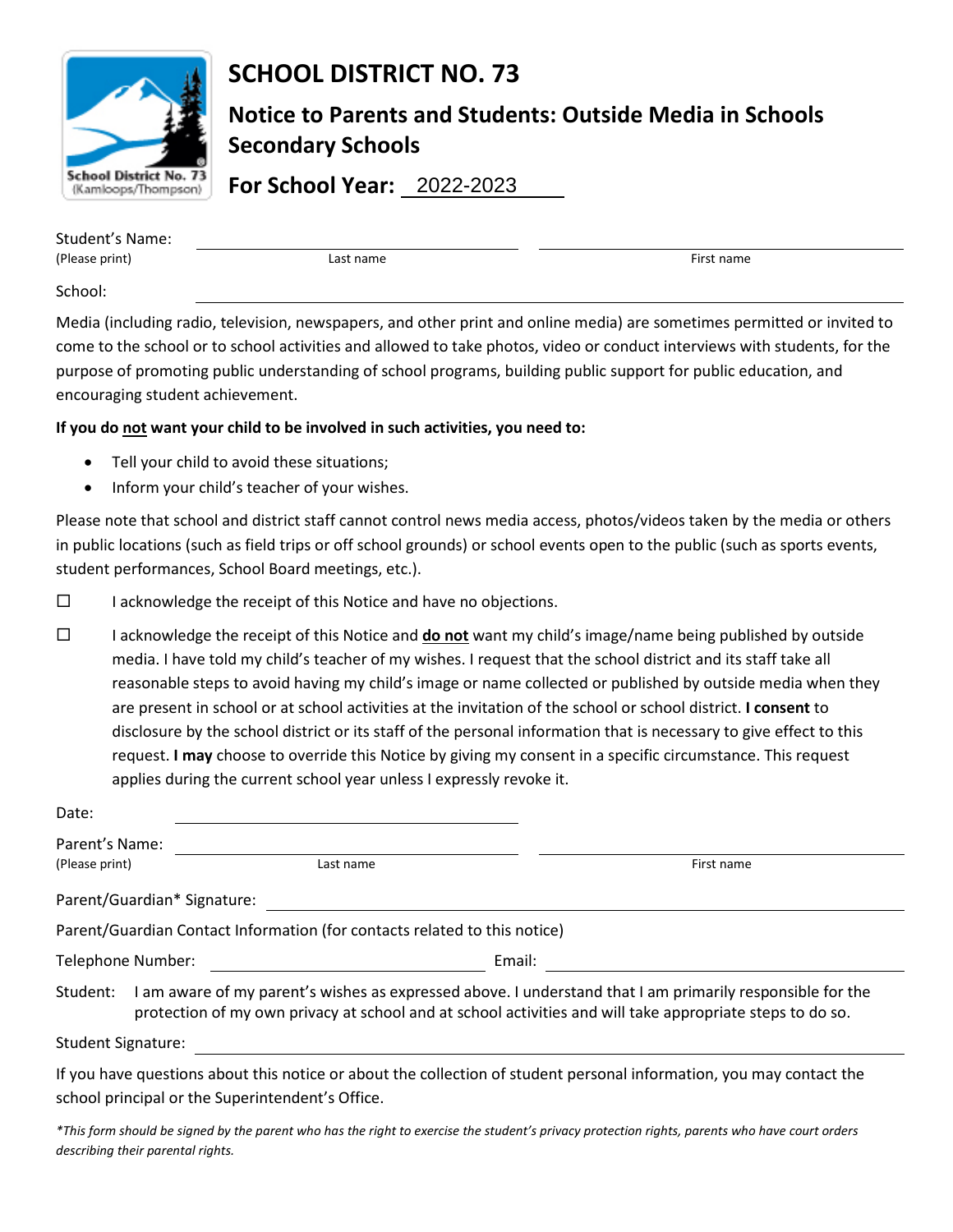

# **SCHOOL DISTRICT NO. 73**

**Notice to Parents and Students: Outside Media in Schools Secondary Schools**

**For School Year:**  2022-2023

| Student's Name: |           |            |  |  |
|-----------------|-----------|------------|--|--|
| (Please print)  | Last name | First name |  |  |
|                 |           |            |  |  |

School:

Media (including radio, television, newspapers, and other print and online media) are sometimes permitted or invited to come to the school or to school activities and allowed to take photos, video or conduct interviews with students, for the purpose of promoting public understanding of school programs, building public support for public education, and encouraging student achievement.

### **If you do not want your child to be involved in such activities, you need to:**

- Tell your child to avoid these situations;
- Inform your child's teacher of your wishes.

Please note that school and district staff cannot control news media access, photos/videos taken by the media or others in public locations (such as field trips or off school grounds) or school events open to the public (such as sports events, student performances, School Board meetings, etc.).

- $\Box$  I acknowledge the receipt of this Notice and have no objections.
- $\square$  I acknowledge the receipt of this Notice and **do not** want my child's image/name being published by outside media. I have told my child's teacher of my wishes. I request that the school district and its staff take all reasonable steps to avoid having my child's image or name collected or published by outside media when they are present in school or at school activities at the invitation of the school or school district. **I consent** to disclosure by the school district or its staff of the personal information that is necessary to give effect to this request. **I may** choose to override this Notice by giving my consent in a specific circumstance. This request applies during the current school year unless I expressly revoke it.

| Date:                                                                                                                                                                                                                           |                                                                           |                                                                                                                      |  |  |
|---------------------------------------------------------------------------------------------------------------------------------------------------------------------------------------------------------------------------------|---------------------------------------------------------------------------|----------------------------------------------------------------------------------------------------------------------|--|--|
| Parent's Name:                                                                                                                                                                                                                  |                                                                           |                                                                                                                      |  |  |
| (Please print)                                                                                                                                                                                                                  | Last name                                                                 | First name                                                                                                           |  |  |
|                                                                                                                                                                                                                                 | Parent/Guardian* Signature:                                               |                                                                                                                      |  |  |
|                                                                                                                                                                                                                                 | Parent/Guardian Contact Information (for contacts related to this notice) |                                                                                                                      |  |  |
| Telephone Number:                                                                                                                                                                                                               |                                                                           | Email:                                                                                                               |  |  |
| Student: I am aware of my parent's wishes as expressed above. I understand that I am primarily responsible for the<br>protection of my own privacy at school and at school activities and will take appropriate steps to do so. |                                                                           |                                                                                                                      |  |  |
| <b>Student Signature:</b>                                                                                                                                                                                                       |                                                                           |                                                                                                                      |  |  |
|                                                                                                                                                                                                                                 | school principal or the Superintendent's Office.                          | If you have questions about this notice or about the collection of student personal information, you may contact the |  |  |

*\*This form should be signed by the parent who has the right to exercise the student's privacy protection rights, parents who have court orders describing their parental rights.*